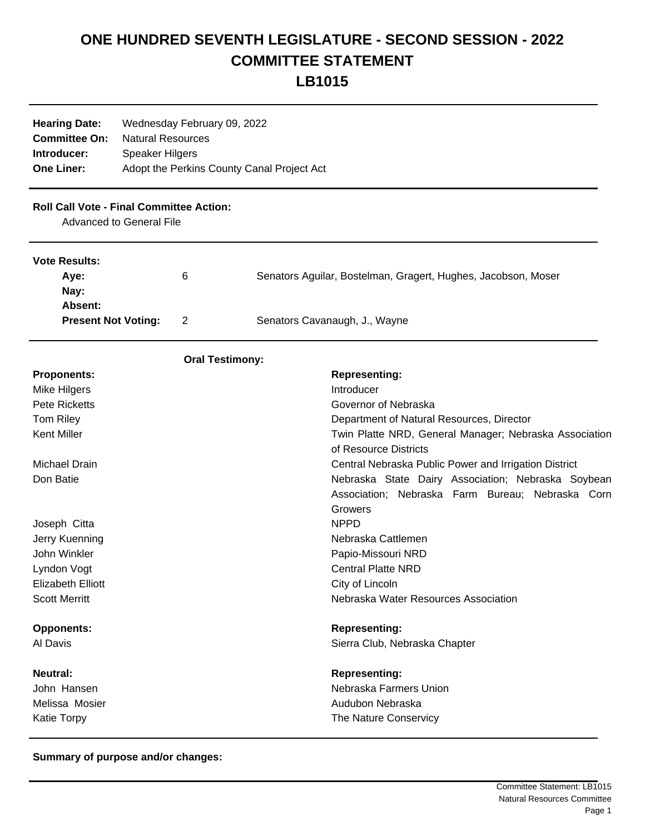## **ONE HUNDRED SEVENTH LEGISLATURE - SECOND SESSION - 2022 COMMITTEE STATEMENT LB1015**

| <b>Hearing Date:</b><br><b>Committee On:</b><br>Introducer:<br><b>One Liner:</b>   | Wednesday February 09, 2022<br><b>Natural Resources</b><br><b>Speaker Hilgers</b><br>Adopt the Perkins County Canal Project Act |                                    |                                                               |                                                                                                                   |
|------------------------------------------------------------------------------------|---------------------------------------------------------------------------------------------------------------------------------|------------------------------------|---------------------------------------------------------------|-------------------------------------------------------------------------------------------------------------------|
| <b>Roll Call Vote - Final Committee Action:</b><br><b>Advanced to General File</b> |                                                                                                                                 |                                    |                                                               |                                                                                                                   |
| <b>Vote Results:</b>                                                               |                                                                                                                                 |                                    |                                                               |                                                                                                                   |
| Aye:<br>Nay:<br>Absent:                                                            |                                                                                                                                 | 6                                  | Senators Aguilar, Bostelman, Gragert, Hughes, Jacobson, Moser |                                                                                                                   |
| <b>Present Not Voting:</b>                                                         |                                                                                                                                 | Senators Cavanaugh, J., Wayne<br>2 |                                                               |                                                                                                                   |
|                                                                                    |                                                                                                                                 | <b>Oral Testimony:</b>             |                                                               |                                                                                                                   |
| <b>Proponents:</b>                                                                 |                                                                                                                                 |                                    |                                                               | <b>Representing:</b>                                                                                              |
| Mike Hilgers                                                                       |                                                                                                                                 |                                    |                                                               | Introducer                                                                                                        |
| <b>Pete Ricketts</b>                                                               |                                                                                                                                 |                                    |                                                               | Governor of Nebraska                                                                                              |
| Tom Riley                                                                          |                                                                                                                                 |                                    |                                                               | Department of Natural Resources, Director                                                                         |
| Kent Miller                                                                        |                                                                                                                                 |                                    |                                                               | Twin Platte NRD, General Manager; Nebraska Association                                                            |
|                                                                                    |                                                                                                                                 |                                    |                                                               | of Resource Districts                                                                                             |
| Michael Drain                                                                      |                                                                                                                                 |                                    |                                                               | Central Nebraska Public Power and Irrigation District                                                             |
| Don Batie                                                                          |                                                                                                                                 |                                    |                                                               | Nebraska State Dairy Association; Nebraska Soybean<br>Association; Nebraska Farm Bureau; Nebraska Corn<br>Growers |
| Joseph Citta                                                                       |                                                                                                                                 |                                    |                                                               | <b>NPPD</b>                                                                                                       |
| Jerry Kuenning                                                                     |                                                                                                                                 |                                    |                                                               | Nebraska Cattlemen                                                                                                |
| John Winkler                                                                       |                                                                                                                                 |                                    |                                                               | Papio-Missouri NRD                                                                                                |
| Lyndon Vogt                                                                        |                                                                                                                                 |                                    |                                                               | <b>Central Platte NRD</b>                                                                                         |
| <b>Elizabeth Elliott</b>                                                           |                                                                                                                                 |                                    |                                                               | City of Lincoln                                                                                                   |
| <b>Scott Merritt</b>                                                               |                                                                                                                                 |                                    |                                                               | Nebraska Water Resources Association                                                                              |
| <b>Opponents:</b>                                                                  |                                                                                                                                 |                                    |                                                               | <b>Representing:</b>                                                                                              |
| Al Davis                                                                           |                                                                                                                                 |                                    |                                                               | Sierra Club, Nebraska Chapter                                                                                     |
| Neutral:                                                                           |                                                                                                                                 |                                    |                                                               | <b>Representing:</b>                                                                                              |
| John Hansen                                                                        |                                                                                                                                 |                                    |                                                               | Nebraska Farmers Union                                                                                            |
| Melissa Mosier                                                                     |                                                                                                                                 |                                    |                                                               | Audubon Nebraska                                                                                                  |
| <b>Katie Torpy</b>                                                                 |                                                                                                                                 |                                    |                                                               | The Nature Conservicy                                                                                             |

**Summary of purpose and/or changes:**